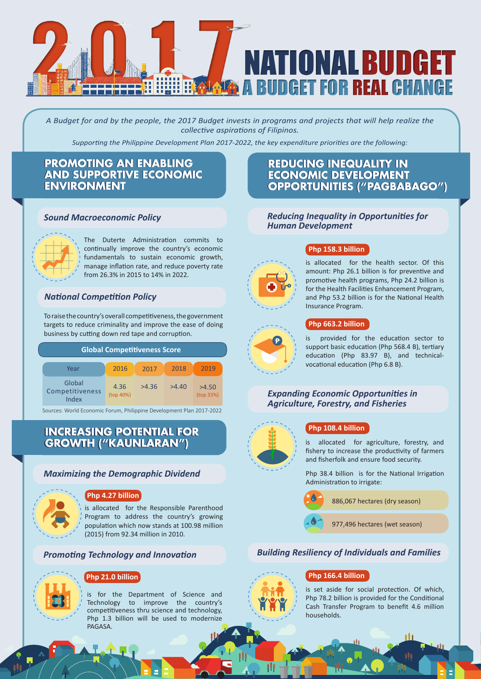

*A Budget for and by the people, the 2017 Budget invests in programs and projects that will help realize the collective aspirations of Filipinos.* 

*Supporting the Philippine Development Plan 2017-2022, the key expenditure priorities are the following:*

# **PROMOTING AN ENABLING AND SUPPORTIVE ECONOMIC AND SUPPORTIVE ECONOMIC ENVIRONMENT ENVIRONMENT**

#### *Sound Macroeconomic Policy*



The Duterte Administration commits to continually improve the country's economic fundamentals to sustain economic growth, manage inflation rate, and reduce poverty rate from 26.3% in 2015 to 14% in 2022.

#### *National Competition Policy*

To raise the country's overall competitiveness, the government targets to reduce criminality and improve the ease of doing business by cutting down red tape and corruption.

| <b>Global Competitiveness Score</b> |                   |       |       |                    |
|-------------------------------------|-------------------|-------|-------|--------------------|
| Year                                | 2016              | 2017  | 2018  | 2019               |
| Global<br>Competitiveness<br>Index  | 4.36<br>(top 40%) | >4.36 | >4.40 | >4.50<br>(top 33%) |

Sources: World Economic Forum, Philippine Development Plan 2017-2022

# **INCREASING POTENTIAL FOR INCREASING POTENTIAL FOR GROWTH ("KAUNLARAN") GROWTH ("KAUNLARAN")**

#### *Maximizing the Demographic Dividend*



#### **Php 4.27 billion**

is allocated for the Responsible Parenthood Program to address the country's growing population which now stands at 100.98 million (2015) from 92.34 million in 2010.

### *Promoting Technology and Innovation*



#### **Php 21.0 billion**

is for the Department of Science and Technology to improve the country's competitiveness thru science and technology, Php 1.3 billion will be used to modernize PAGASA.

# **REDUCING INEQUALITY IN REDUCING INEQUALITY IN ECONOMIC DEVELOPMENT ECONOMIC DEVELOPMENT OPPORTUNITIES ("PAGBABAGO") OPPORTUNITIES ("PAGBABAGO")**

#### *Reducing Inequality in Opportunities for Human Development*

# **Php 158.3 billion**

is allocated for the health sector. Of this amount: Php 26.1 billion is for preventive and promotive health programs, Php 24.2 billion is for the Health Facilities Enhancement Program, and Php 53.2 billion is for the National Health Insurance Program.

#### **Php 663.2 billion**

is provided for the education sector to support basic education (Php 568.4 B), tertiary education (Php 83.97 B), and technicalvocational education (Php 6.8 B).

#### *Expanding Economic Opportunities in Agriculture, Forestry, and Fisheries*



#### **Php 108.4 billion**

is allocated for agriculture, forestry, and fishery to increase the productivity of farmers and fisherfolk and ensure food security.

Php 38.4 billion is for the National Irrigation Administration to irrigate:



#### *Building Resiliency of Individuals and Families*

#### **Php 166.4 billion**